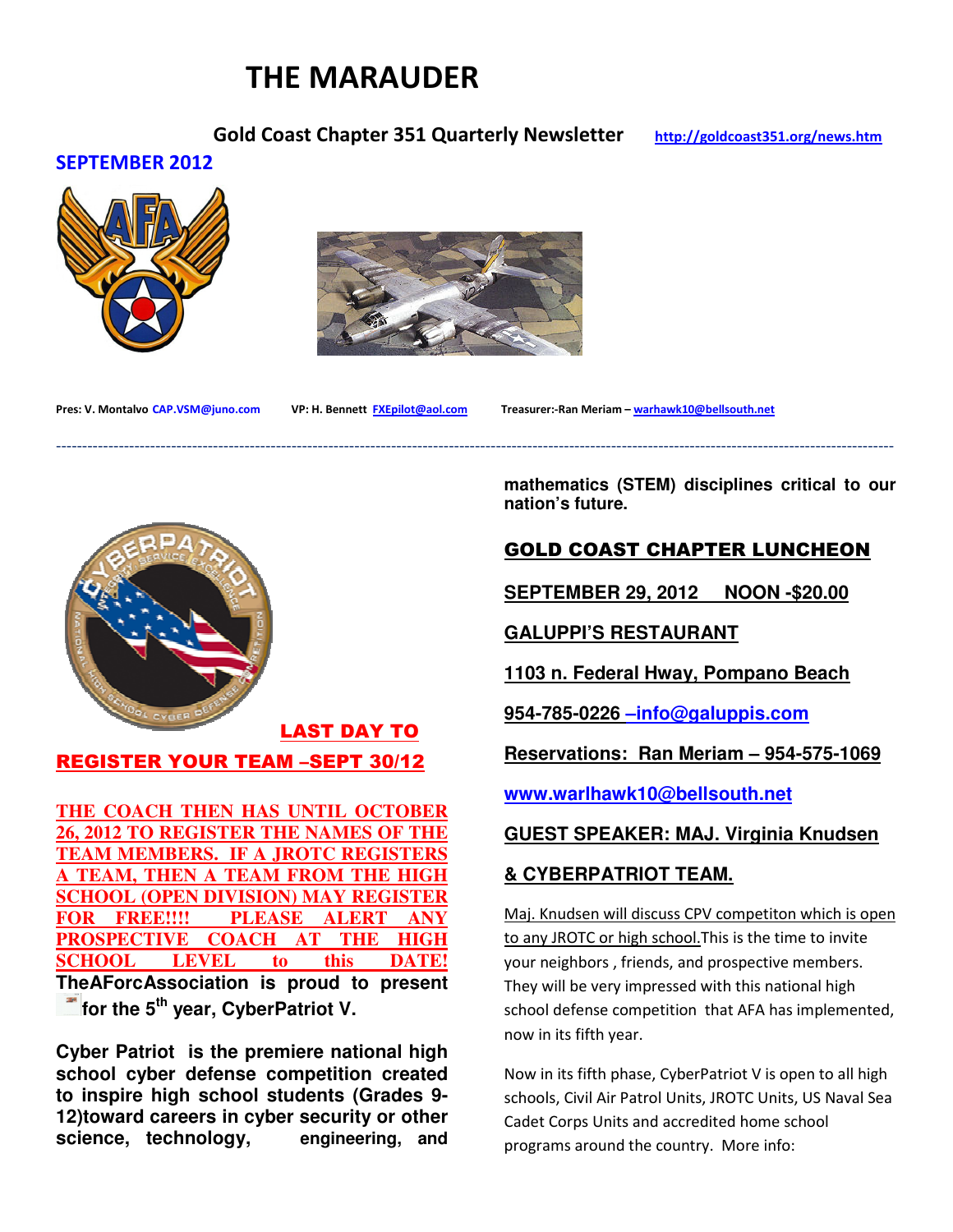# THE MARAUDER

## Gold Coast Chapter 351 Quarterly Newsletter http://goldcoast351.org/news.htm

#### SEPTEMBER 2012





----------------------------------------------------------------------------------------------------------------------------------------------------------------

Pres: V. Montalvo CAP.VSM@juno.com VP: H. Bennett FXEpilot@aol.com Treasurer:-Ran Meriam – warhawk10@bellsouth.net



# LAST DAY TO REGISTER YOUR TEAM –SEPT 30/12

**THE COACH THEN HAS UNTIL OCTOBER 26, 2012 TO REGISTER THE NAMES OF THE TEAM MEMBERS. IF A JROTC REGISTERS A TEAM, THEN A TEAM FROM THE HIGH SCHOOL (OPEN DIVISION) MAY REGISTER FOR FREE!!!! PLEASE ALERT ANY PROSPECTIVE COACH AT THE HIGH SCHOOL LEVEL to this DATE! TheAForcAssociation is proud to present for the 5<sup>th</sup> year, CyberPatriot V.** 

**Cyber Patriot is the premiere national high school cyber defense competition created to inspire high school students (Grades 9- 12)toward careers in cyber security or other science, technology, engineering, and** 

**mathematics (STEM) disciplines critical to our nation's future.** 

## GOLD COAST CHAPTER LUNCHEON

**SEPTEMBER 29, 2012 NOON -\$20.00**

**GALUPPI'S RESTAURANT**

**1103 n. Federal Hway, Pompano Beach**

**954-785-0226 –info@galuppis.com**

**Reservations: Ran Meriam – 954-575-1069**

**www.warlhawk10@bellsouth.net**

**GUEST SPEAKER: MAJ. Virginia Knudsen**

#### **& CYBERPATRIOT TEAM.**

Maj. Knudsen will discuss CPV competiton which is open to any JROTC or high school.This is the time to invite your neighbors , friends, and prospective members. They will be very impressed with this national high school defense competition that AFA has implemented, now in its fifth year.

Now in its fifth phase, CyberPatriot V is open to all high schools, Civil Air Patrol Units, JROTC Units, US Naval Sea Cadet Corps Units and accredited home school programs around the country. More info: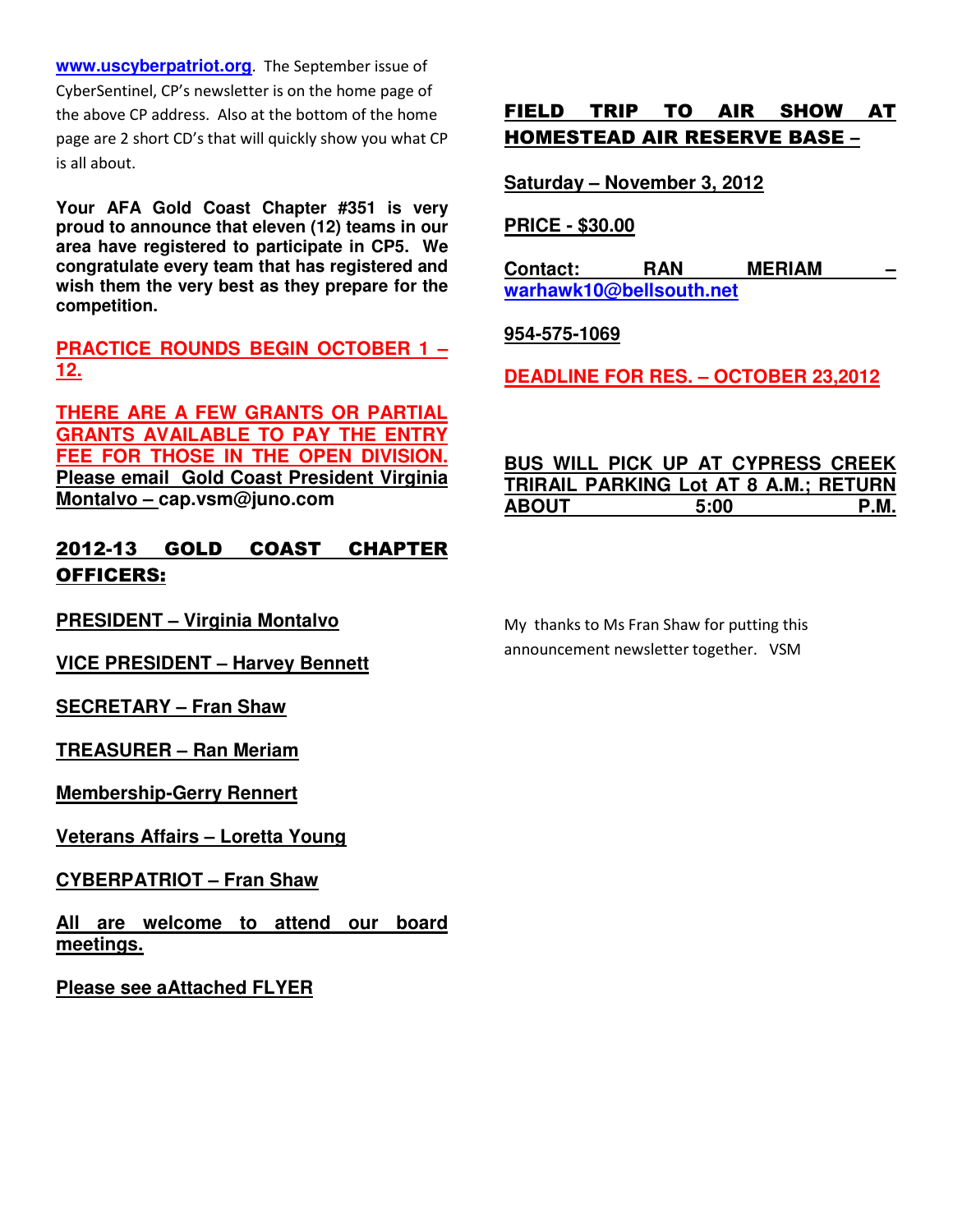**www.uscyberpatriot.org**. The September issue of CyberSentinel, CP's newsletter is on the home page of the above CP address. Also at the bottom of the home page are 2 short CD's that will quickly show you what CP is all about.

**Your AFA Gold Coast Chapter #351 is very proud to announce that eleven (12) teams in our area have registered to participate in CP5. We congratulate every team that has registered and wish them the very best as they prepare for the competition.** 

**PRACTICE ROUNDS BEGIN OCTOBER 1 – 12.** 

**THERE ARE A FEW GRANTS OR PARTIAL GRANTS AVAILABLE TO PAY THE ENTRY FEE FOR THOSE IN THE OPEN DIVISION. Please email Gold Coast President Virginia Montalvo – cap.vsm@juno.com**

## 2012-13 GOLD COAST CHAPTER OFFICERS:

**PRESIDENT – Virginia Montalvo**

**VICE PRESIDENT – Harvey Bennett**

**SECRETARY – Fran Shaw**

**TREASURER – Ran Meriam**

**Membership-Gerry Rennert**

**Veterans Affairs – Loretta Young**

**CYBERPATRIOT – Fran Shaw**

**All are welcome to attend our board meetings.**

**Please see aAttached FLYER**

## FIELD TRIP TO AIR SHOW AT HOMESTEAD AIR RESERVE BASE –

**Saturday – November 3, 2012**

**PRICE - \$30.00**

**Contact: RAN MERIAM – warhawk10@bellsouth.net** 

**954-575-1069**

**DEADLINE FOR RES. – OCTOBER 23,2012**

#### **BUS WILL PICK UP AT CYPRESS CREEK TRIRAIL PARKING Lot AT 8 A.M.; RETURN ABOUT 5:00 P.M.**

My thanks to Ms Fran Shaw for putting this announcement newsletter together. VSM